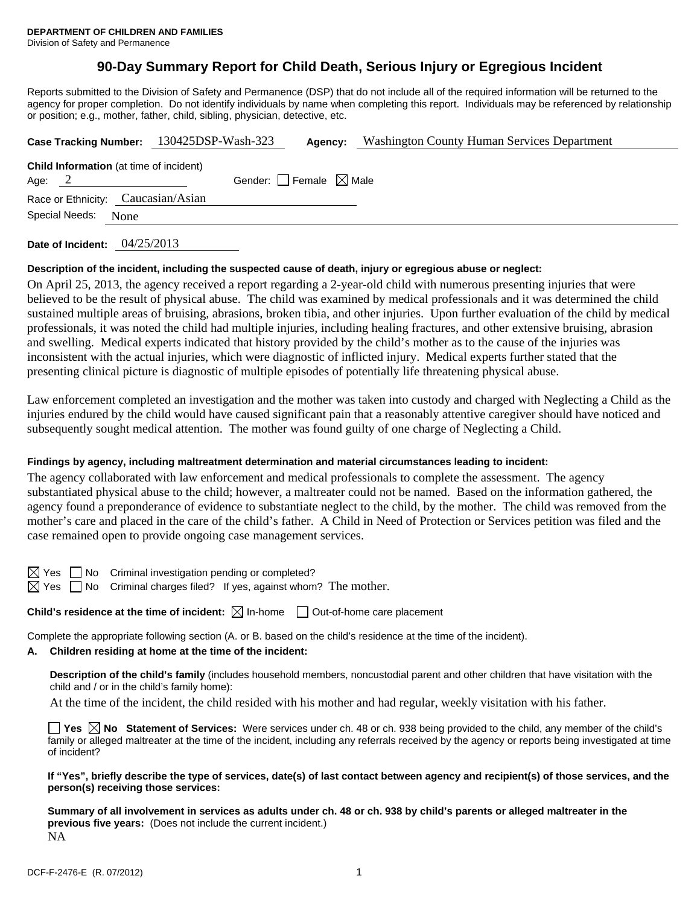# **90-Day Summary Report for Child Death, Serious Injury or Egregious Incident**

Reports submitted to the Division of Safety and Permanence (DSP) that do not include all of the required information will be returned to the agency for proper completion. Do not identify individuals by name when completing this report. Individuals may be referenced by relationship or position; e.g., mother, father, child, sibling, physician, detective, etc.

|                                    |                |                                                | Case Tracking Number: 130425DSP-Wash-323 | Agency: | <b>Washington County Human Services Department</b> |
|------------------------------------|----------------|------------------------------------------------|------------------------------------------|---------|----------------------------------------------------|
| Age: $2$                           |                | <b>Child Information</b> (at time of incident) | Gender: Female $\boxtimes$ Male          |         |                                                    |
| Race or Ethnicity: Caucasian/Asian |                |                                                |                                          |         |                                                    |
|                                    | Special Needs: | None                                           |                                          |         |                                                    |

**Date of Incident:** 04/25/2013

## **Description of the incident, including the suspected cause of death, injury or egregious abuse or neglect:**

On April 25, 2013, the agency received a report regarding a 2-year-old child with numerous presenting injuries that were believed to be the result of physical abuse. The child was examined by medical professionals and it was determined the child sustained multiple areas of bruising, abrasions, broken tibia, and other injuries. Upon further evaluation of the child by medical professionals, it was noted the child had multiple injuries, including healing fractures, and other extensive bruising, abrasion and swelling. Medical experts indicated that history provided by the child's mother as to the cause of the injuries was inconsistent with the actual injuries, which were diagnostic of inflicted injury. Medical experts further stated that the presenting clinical picture is diagnostic of multiple episodes of potentially life threatening physical abuse.

Law enforcement completed an investigation and the mother was taken into custody and charged with Neglecting a Child as the injuries endured by the child would have caused significant pain that a reasonably attentive caregiver should have noticed and subsequently sought medical attention. The mother was found guilty of one charge of Neglecting a Child.

## **Findings by agency, including maltreatment determination and material circumstances leading to incident:**

The agency collaborated with law enforcement and medical professionals to complete the assessment. The agency substantiated physical abuse to the child; however, a maltreater could not be named. Based on the information gathered, the agency found a preponderance of evidence to substantiate neglect to the child, by the mother. The child was removed from the mother's care and placed in the care of the child's father. A Child in Need of Protection or Services petition was filed and the case remained open to provide ongoing case management services.

No Criminal investigation pending or completed?

 $\Box$  No Criminal charges filed? If yes, against whom? The mother.

**Child's residence at the time of incident:**  $\boxtimes$  In-home  $\Box$  Out-of-home care placement

Complete the appropriate following section (A. or B. based on the child's residence at the time of the incident).

## **A. Children residing at home at the time of the incident:**

**Description of the child's family** (includes household members, noncustodial parent and other children that have visitation with the child and / or in the child's family home):

At the time of the incident, the child resided with his mother and had regular, weekly visitation with his father.

■ Yes **No** Statement of Services: Were services under ch. 48 or ch. 938 being provided to the child, any member of the child's family or alleged maltreater at the time of the incident, including any referrals received by the agency or reports being investigated at time of incident?

**If "Yes", briefly describe the type of services, date(s) of last contact between agency and recipient(s) of those services, and the person(s) receiving those services:** 

**Summary of all involvement in services as adults under ch. 48 or ch. 938 by child's parents or alleged maltreater in the previous five years:** (Does not include the current incident.) NA